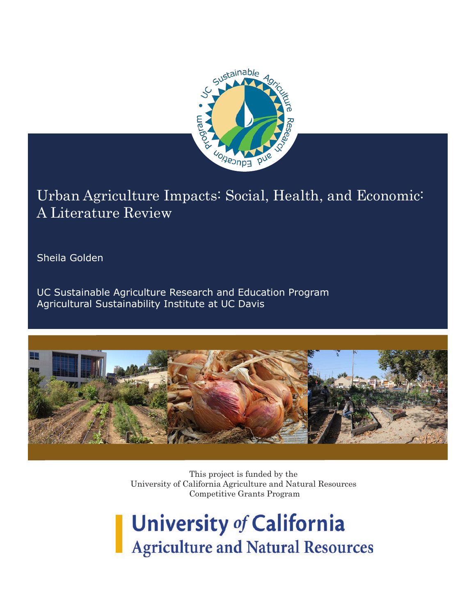

# Urban Agriculture Impacts: Social, Health, and Economic: A Literature Review

Sheila Golden

UC Sustainable Agriculture Research and Education Program Agricultural Sustainability Institute at UC Davis



This project is funded by the University of California Agriculture and Natural Resources Competitive Grants Program

# University of California **Agriculture and Natural Resources**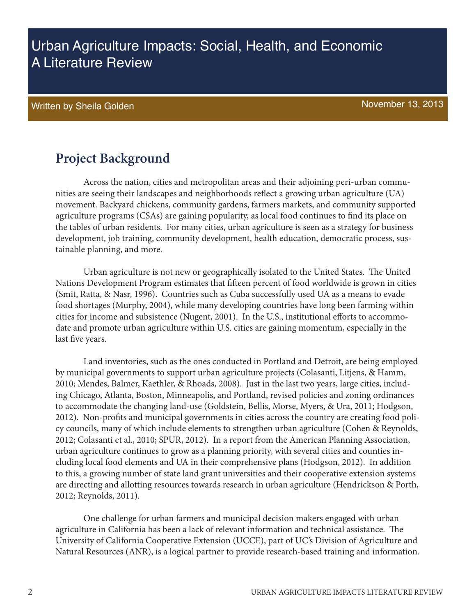# Urban Agriculture Impacts: Social, Health, and Economic A Literature Review

### Written by Sheila Golden November 13, 2013

### **Project Background**

Across the nation, cities and metropolitan areas and their adjoining peri-urban communities are seeing their landscapes and neighborhoods reflect a growing urban agriculture (UA) movement. Backyard chickens, community gardens, farmers markets, and community supported agriculture programs (CSAs) are gaining popularity, as local food continues to find its place on the tables of urban residents. For many cities, urban agriculture is seen as a strategy for business development, job training, community development, health education, democratic process, sustainable planning, and more.

Urban agriculture is not new or geographically isolated to the United States. The United Nations Development Program estimates that fifteen percent of food worldwide is grown in cities (Smit, Ratta, & Nasr, 1996). Countries such as Cuba successfully used UA as a means to evade food shortages (Murphy, 2004), while many developing countries have long been farming within cities for income and subsistence (Nugent, 2001). In the U.S., institutional efforts to accommodate and promote urban agriculture within U.S. cities are gaining momentum, especially in the last five years.

Land inventories, such as the ones conducted in Portland and Detroit, are being employed by municipal governments to support urban agriculture projects (Colasanti, Litjens, & Hamm, 2010; Mendes, Balmer, Kaethler, & Rhoads, 2008). Just in the last two years, large cities, including Chicago, Atlanta, Boston, Minneapolis, and Portland, revised policies and zoning ordinances to accommodate the changing land-use (Goldstein, Bellis, Morse, Myers, & Ura, 2011; Hodgson, 2012). Non-profits and municipal governments in cities across the country are creating food policy councils, many of which include elements to strengthen urban agriculture (Cohen & Reynolds, 2012; Colasanti et al., 2010; SPUR, 2012). In a report from the American Planning Association, urban agriculture continues to grow as a planning priority, with several cities and counties including local food elements and UA in their comprehensive plans (Hodgson, 2012). In addition to this, a growing number of state land grant universities and their cooperative extension systems are directing and allotting resources towards research in urban agriculture (Hendrickson & Porth, 2012; Reynolds, 2011).

One challenge for urban farmers and municipal decision makers engaged with urban agriculture in California has been a lack of relevant information and technical assistance. The University of California Cooperative Extension (UCCE), part of UC's Division of Agriculture and Natural Resources (ANR), is a logical partner to provide research-based training and information.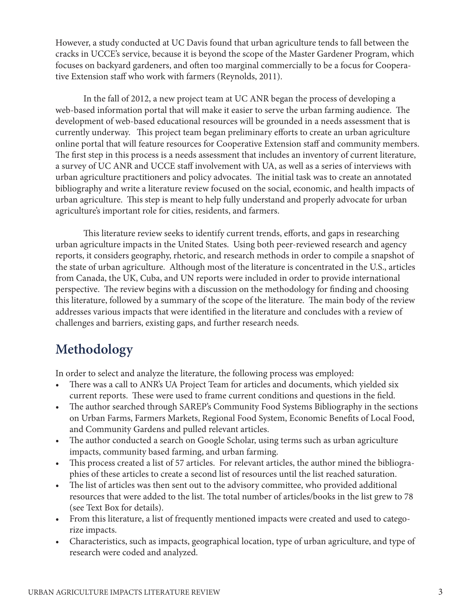However, a study conducted at UC Davis found that urban agriculture tends to fall between the cracks in UCCE's service, because it is beyond the scope of the Master Gardener Program, which focuses on backyard gardeners, and often too marginal commercially to be a focus for Cooperative Extension staff who work with farmers (Reynolds, 2011).

In the fall of 2012, a new project team at UC ANR began the process of developing a web-based information portal that will make it easier to serve the urban farming audience. The development of web-based educational resources will be grounded in a needs assessment that is currently underway. This project team began preliminary efforts to create an urban agriculture online portal that will feature resources for Cooperative Extension staff and community members. The first step in this process is a needs assessment that includes an inventory of current literature, a survey of UC ANR and UCCE staff involvement with UA, as well as a series of interviews with urban agriculture practitioners and policy advocates. The initial task was to create an annotated bibliography and write a literature review focused on the social, economic, and health impacts of urban agriculture. This step is meant to help fully understand and properly advocate for urban agriculture's important role for cities, residents, and farmers.

This literature review seeks to identify current trends, efforts, and gaps in researching urban agriculture impacts in the United States. Using both peer-reviewed research and agency reports, it considers geography, rhetoric, and research methods in order to compile a snapshot of the state of urban agriculture. Although most of the literature is concentrated in the U.S., articles from Canada, the UK, Cuba, and UN reports were included in order to provide international perspective. The review begins with a discussion on the methodology for finding and choosing this literature, followed by a summary of the scope of the literature. The main body of the review addresses various impacts that were identified in the literature and concludes with a review of challenges and barriers, existing gaps, and further research needs.

# **Methodology**

In order to select and analyze the literature, the following process was employed:

- There was a call to ANR's UA Project Team for articles and documents, which yielded six current reports. These were used to frame current conditions and questions in the field.
- The author searched through SAREP's Community Food Systems Bibliography in the sections on Urban Farms, Farmers Markets, Regional Food System, Economic Benefits of Local Food, and Community Gardens and pulled relevant articles.
- The author conducted a search on Google Scholar, using terms such as urban agriculture impacts, community based farming, and urban farming.
- This process created a list of 57 articles. For relevant articles, the author mined the bibliographies of these articles to create a second list of resources until the list reached saturation.
- The list of articles was then sent out to the advisory committee, who provided additional resources that were added to the list. The total number of articles/books in the list grew to 78 (see Text Box for details).
- From this literature, a list of frequently mentioned impacts were created and used to categorize impacts.
- Characteristics, such as impacts, geographical location, type of urban agriculture, and type of research were coded and analyzed.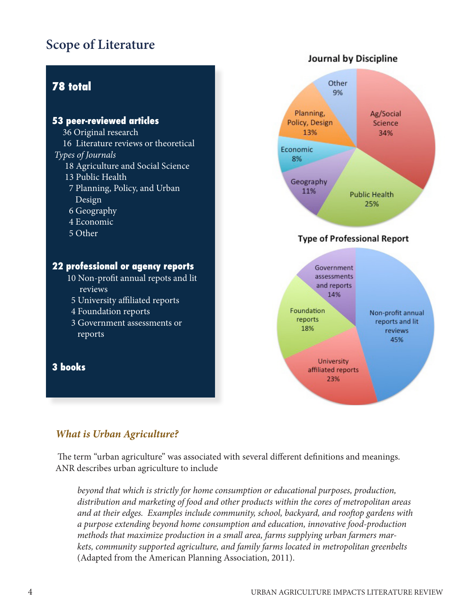# **Scope of Literature**



#### *What is Urban Agriculture?*

 The term "urban agriculture" was associated with several different definitions and meanings. ANR describes urban agriculture to include

*beyond that which is strictly for home consumption or educational purposes, production, distribution and marketing of food and other products within the cores of metropolitan areas and at their edges. Examples include community, school, backyard, and rooftop gardens with a purpose extending beyond home consumption and education, innovative food-production methods that maximize production in a small area, farms supplying urban farmers markets, community supported agriculture, and family farms located in metropolitan greenbelts*  (Adapted from the American Planning Association, 2011).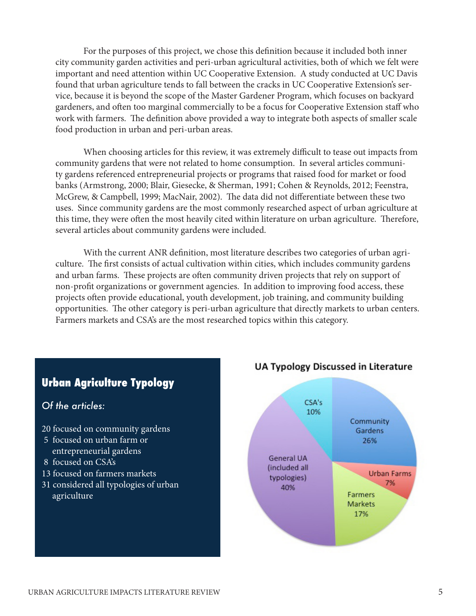For the purposes of this project, we chose this definition because it included both inner city community garden activities and peri-urban agricultural activities, both of which we felt were important and need attention within UC Cooperative Extension. A study conducted at UC Davis found that urban agriculture tends to fall between the cracks in UC Cooperative Extension's service, because it is beyond the scope of the Master Gardener Program, which focuses on backyard gardeners, and often too marginal commercially to be a focus for Cooperative Extension staff who work with farmers. The definition above provided a way to integrate both aspects of smaller scale food production in urban and peri-urban areas.

When choosing articles for this review, it was extremely difficult to tease out impacts from community gardens that were not related to home consumption. In several articles community gardens referenced entrepreneurial projects or programs that raised food for market or food banks (Armstrong, 2000; Blair, Giesecke, & Sherman, 1991; Cohen & Reynolds, 2012; Feenstra, McGrew, & Campbell, 1999; MacNair, 2002). The data did not differentiate between these two uses. Since community gardens are the most commonly researched aspect of urban agriculture at this time, they were often the most heavily cited within literature on urban agriculture. Therefore, several articles about community gardens were included.

With the current ANR definition, most literature describes two categories of urban agriculture. The first consists of actual cultivation within cities, which includes community gardens and urban farms. These projects are often community driven projects that rely on support of non-profit organizations or government agencies. In addition to improving food access, these projects often provide educational, youth development, job training, and community building opportunities. The other category is peri-urban agriculture that directly markets to urban centers. Farmers markets and CSA's are the most researched topics within this category.



#### **UA Typology Discussed in Literature**

*Of the articles:* 

agriculture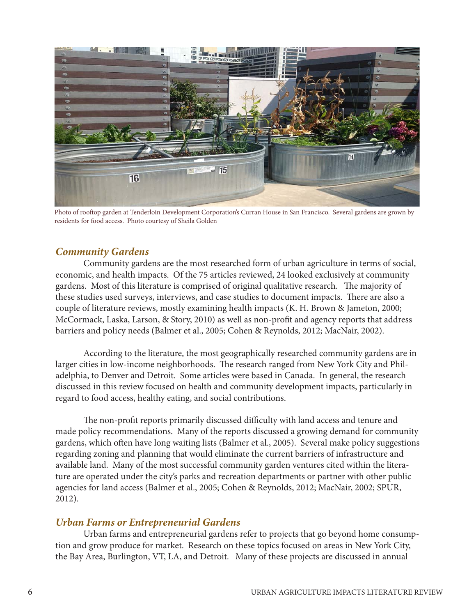

Photo of rooftop garden at Tenderloin Development Corporation's Curran House in San Francisco. Several gardens are grown by residents for food access. Photo courtesy of Sheila Golden

#### *Community Gardens*

Community gardens are the most researched form of urban agriculture in terms of social, economic, and health impacts. Of the 75 articles reviewed, 24 looked exclusively at community gardens. Most of this literature is comprised of original qualitative research. The majority of these studies used surveys, interviews, and case studies to document impacts. There are also a couple of literature reviews, mostly examining health impacts (K. H. Brown & Jameton, 2000; McCormack, Laska, Larson, & Story, 2010) as well as non-profit and agency reports that address barriers and policy needs (Balmer et al., 2005; Cohen & Reynolds, 2012; MacNair, 2002).

According to the literature, the most geographically researched community gardens are in larger cities in low-income neighborhoods. The research ranged from New York City and Philadelphia, to Denver and Detroit. Some articles were based in Canada. In general, the research discussed in this review focused on health and community development impacts, particularly in regard to food access, healthy eating, and social contributions.

The non-profit reports primarily discussed difficulty with land access and tenure and made policy recommendations. Many of the reports discussed a growing demand for community gardens, which often have long waiting lists (Balmer et al., 2005). Several make policy suggestions regarding zoning and planning that would eliminate the current barriers of infrastructure and available land. Many of the most successful community garden ventures cited within the literature are operated under the city's parks and recreation departments or partner with other public agencies for land access (Balmer et al., 2005; Cohen & Reynolds, 2012; MacNair, 2002; SPUR, 2012).

#### *Urban Farms or Entrepreneurial Gardens*

Urban farms and entrepreneurial gardens refer to projects that go beyond home consumption and grow produce for market. Research on these topics focused on areas in New York City, the Bay Area, Burlington, VT, LA, and Detroit. Many of these projects are discussed in annual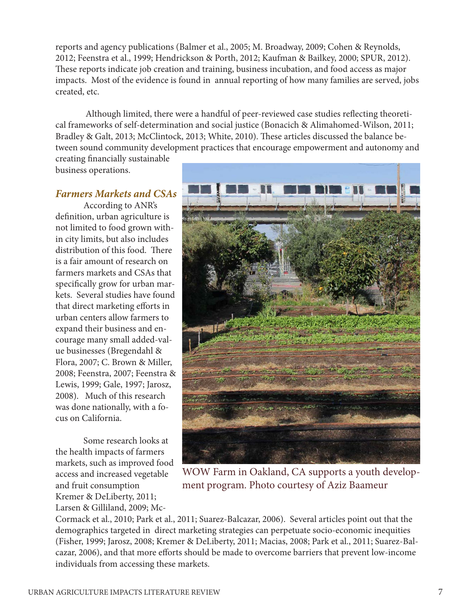reports and agency publications (Balmer et al., 2005; M. Broadway, 2009; Cohen & Reynolds, 2012; Feenstra et al., 1999; Hendrickson & Porth, 2012; Kaufman & Bailkey, 2000; SPUR, 2012). These reports indicate job creation and training, business incubation, and food access as major impacts. Most of the evidence is found in annual reporting of how many families are served, jobs created, etc.

 Although limited, there were a handful of peer-reviewed case studies reflecting theoretical frameworks of self-determination and social justice (Bonacich & Alimahomed-Wilson, 2011; Bradley & Galt, 2013; McClintock, 2013; White, 2010). These articles discussed the balance between sound community development practices that encourage empowerment and autonomy and

creating financially sustainable business operations.

#### *Farmers Markets and CSAs*

According to ANR's definition, urban agriculture is not limited to food grown within city limits, but also includes distribution of this food. There is a fair amount of research on farmers markets and CSAs that specifically grow for urban markets. Several studies have found that direct marketing efforts in urban centers allow farmers to expand their business and encourage many small added-value businesses (Bregendahl & Flora, 2007; C. Brown & Miller, 2008; Feenstra, 2007; Feenstra & Lewis, 1999; Gale, 1997; Jarosz, 2008). Much of this research was done nationally, with a focus on California.

Some research looks at the health impacts of farmers markets, such as improved food access and increased vegetable and fruit consumption Kremer & DeLiberty, 2011; Larsen & Gilliland, 2009; Mc-



WOW Farm in Oakland, CA supports a youth development program. Photo courtesy of Aziz Baameur

Cormack et al., 2010; Park et al., 2011; Suarez-Balcazar, 2006). Several articles point out that the demographics targeted in direct marketing strategies can perpetuate socio-economic inequities (Fisher, 1999; Jarosz, 2008; Kremer & DeLiberty, 2011; Macias, 2008; Park et al., 2011; Suarez-Balcazar, 2006), and that more efforts should be made to overcome barriers that prevent low-income individuals from accessing these markets.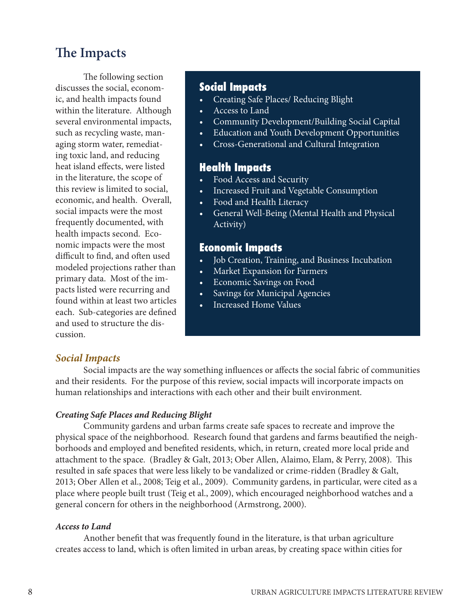### **The Impacts**

The following section discusses the social, economic, and health impacts found within the literature. Although several environmental impacts, such as recycling waste, managing storm water, remediating toxic land, and reducing heat island effects, were listed in the literature, the scope of this review is limited to social, economic, and health. Overall, social impacts were the most frequently documented, with health impacts second. Economic impacts were the most difficult to find, and often used modeled projections rather than primary data. Most of the impacts listed were recurring and found within at least two articles each. Sub-categories are defined and used to structure the discussion.

#### **Social Impacts**

- Creating Safe Places/ Reducing Blight
- • Access to Land
- Community Development/Building Social Capital
- **Education and Youth Development Opportunities**
- • Cross-Generational and Cultural Integration

### **Health Impacts**

- Food Access and Security
- Increased Fruit and Vegetable Consumption
- Food and Health Literacy
- • General Well-Being (Mental Health and Physical Activity)

#### **Economic Impacts**

- • Job Creation, Training, and Business Incubation
- **Market Expansion for Farmers**
- • Economic Savings on Food
- Savings for Municipal Agencies
- **Increased Home Values**

#### *Social Impacts*

Social impacts are the way something influences or affects the social fabric of communities and their residents. For the purpose of this review, social impacts will incorporate impacts on human relationships and interactions with each other and their built environment.

#### *Creating Safe Places and Reducing Blight*

Community gardens and urban farms create safe spaces to recreate and improve the physical space of the neighborhood. Research found that gardens and farms beautified the neighborhoods and employed and benefited residents, which, in return, created more local pride and attachment to the space. (Bradley & Galt, 2013; Ober Allen, Alaimo, Elam, & Perry, 2008). This resulted in safe spaces that were less likely to be vandalized or crime-ridden (Bradley & Galt, 2013; Ober Allen et al., 2008; Teig et al., 2009). Community gardens, in particular, were cited as a place where people built trust (Teig et al., 2009), which encouraged neighborhood watches and a general concern for others in the neighborhood (Armstrong, 2000).

#### *Access to Land*

Another benefit that was frequently found in the literature, is that urban agriculture creates access to land, which is often limited in urban areas, by creating space within cities for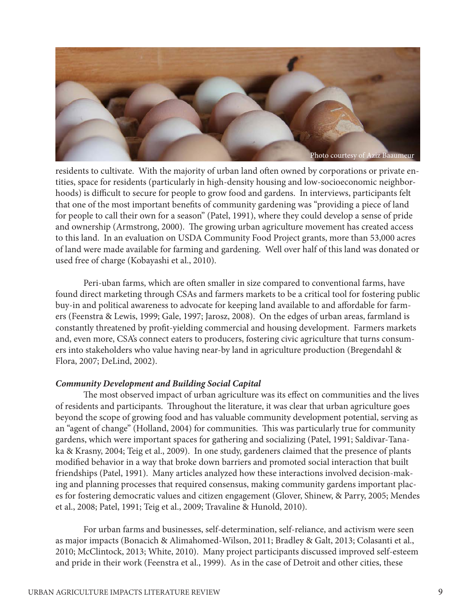

residents to cultivate. With the majority of urban land often owned by corporations or private entities, space for residents (particularly in high-density housing and low-socioeconomic neighborhoods) is difficult to secure for people to grow food and gardens. In interviews, participants felt that one of the most important benefits of community gardening was "providing a piece of land for people to call their own for a season" (Patel, 1991), where they could develop a sense of pride and ownership (Armstrong, 2000). The growing urban agriculture movement has created access to this land. In an evaluation on USDA Community Food Project grants, more than 53,000 acres of land were made available for farming and gardening. Well over half of this land was donated or used free of charge (Kobayashi et al., 2010).

Peri-uban farms, which are often smaller in size compared to conventional farms, have found direct marketing through CSAs and farmers markets to be a critical tool for fostering public buy-in and political awareness to advocate for keeping land available to and affordable for farmers (Feenstra & Lewis, 1999; Gale, 1997; Jarosz, 2008). On the edges of urban areas, farmland is constantly threatened by profit-yielding commercial and housing development. Farmers markets and, even more, CSA's connect eaters to producers, fostering civic agriculture that turns consumers into stakeholders who value having near-by land in agriculture production (Bregendahl & Flora, 2007; DeLind, 2002).

#### *Community Development and Building Social Capital*

The most observed impact of urban agriculture was its effect on communities and the lives of residents and participants. Throughout the literature, it was clear that urban agriculture goes beyond the scope of growing food and has valuable community development potential, serving as an "agent of change" (Holland, 2004) for communities. This was particularly true for community gardens, which were important spaces for gathering and socializing (Patel, 1991; Saldivar-Tanaka & Krasny, 2004; Teig et al., 2009). In one study, gardeners claimed that the presence of plants modified behavior in a way that broke down barriers and promoted social interaction that built friendships (Patel, 1991). Many articles analyzed how these interactions involved decision-making and planning processes that required consensus, making community gardens important places for fostering democratic values and citizen engagement (Glover, Shinew, & Parry, 2005; Mendes et al., 2008; Patel, 1991; Teig et al., 2009; Travaline & Hunold, 2010).

For urban farms and businesses, self-determination, self-reliance, and activism were seen as major impacts (Bonacich & Alimahomed-Wilson, 2011; Bradley & Galt, 2013; Colasanti et al., 2010; McClintock, 2013; White, 2010). Many project participants discussed improved self-esteem and pride in their work (Feenstra et al., 1999). As in the case of Detroit and other cities, these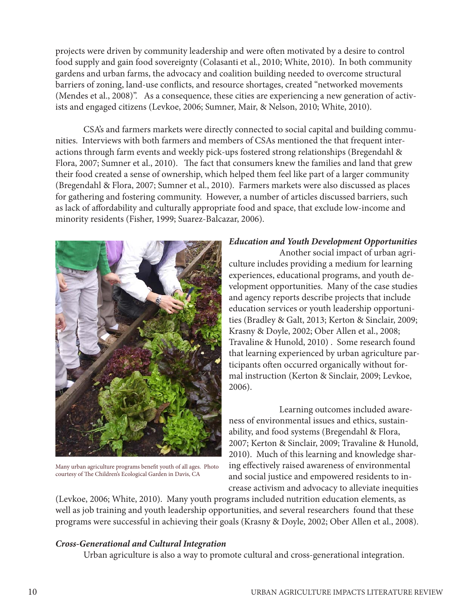projects were driven by community leadership and were often motivated by a desire to control food supply and gain food sovereignty (Colasanti et al., 2010; White, 2010). In both community gardens and urban farms, the advocacy and coalition building needed to overcome structural barriers of zoning, land-use conflicts, and resource shortages, created "networked movements (Mendes et al., 2008)". As a consequence, these cities are experiencing a new generation of activists and engaged citizens (Levkoe, 2006; Sumner, Mair, & Nelson, 2010; White, 2010).

CSA's and farmers markets were directly connected to social capital and building communities. Interviews with both farmers and members of CSAs mentioned the that frequent interactions through farm events and weekly pick-ups fostered strong relationships (Bregendahl & Flora, 2007; Sumner et al., 2010). The fact that consumers knew the families and land that grew their food created a sense of ownership, which helped them feel like part of a larger community (Bregendahl & Flora, 2007; Sumner et al., 2010). Farmers markets were also discussed as places for gathering and fostering community. However, a number of articles discussed barriers, such as lack of affordability and culturally appropriate food and space, that exclude low-income and minority residents (Fisher, 1999; Suarez-Balcazar, 2006).



Many urban agriculture programs benefit youth of all ages. Photo courtesy of The Children's Ecological Garden in Davis, CA

#### *Education and Youth Development Opportunities*

 Another social impact of urban agriculture includes providing a medium for learning experiences, educational programs, and youth development opportunities. Many of the case studies and agency reports describe projects that include education services or youth leadership opportunities (Bradley & Galt, 2013; Kerton & Sinclair, 2009; Krasny & Doyle, 2002; Ober Allen et al., 2008; Travaline & Hunold, 2010) . Some research found that learning experienced by urban agriculture participants often occurred organically without formal instruction (Kerton & Sinclair, 2009; Levkoe, 2006).

 Learning outcomes included awareness of environmental issues and ethics, sustainability, and food systems (Bregendahl & Flora, 2007; Kerton & Sinclair, 2009; Travaline & Hunold, 2010). Much of this learning and knowledge sharing effectively raised awareness of environmental and social justice and empowered residents to increase activism and advocacy to alleviate inequities

(Levkoe, 2006; White, 2010). Many youth programs included nutrition education elements, as well as job training and youth leadership opportunities, and several researchers found that these programs were successful in achieving their goals (Krasny & Doyle, 2002; Ober Allen et al., 2008).

#### *Cross-Generational and Cultural Integration*

Urban agriculture is also a way to promote cultural and cross-generational integration.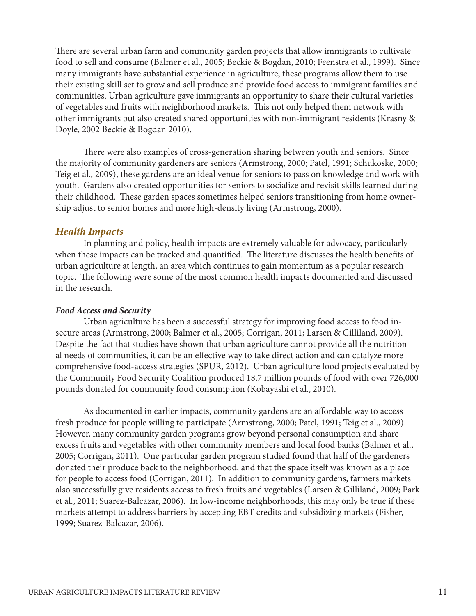There are several urban farm and community garden projects that allow immigrants to cultivate food to sell and consume (Balmer et al., 2005; Beckie & Bogdan, 2010; Feenstra et al., 1999). Since many immigrants have substantial experience in agriculture, these programs allow them to use their existing skill set to grow and sell produce and provide food access to immigrant families and communities. Urban agriculture gave immigrants an opportunity to share their cultural varieties of vegetables and fruits with neighborhood markets. This not only helped them network with other immigrants but also created shared opportunities with non-immigrant residents (Krasny & Doyle, 2002 Beckie & Bogdan 2010).

There were also examples of cross-generation sharing between youth and seniors. Since the majority of community gardeners are seniors (Armstrong, 2000; Patel, 1991; Schukoske, 2000; Teig et al., 2009), these gardens are an ideal venue for seniors to pass on knowledge and work with youth. Gardens also created opportunities for seniors to socialize and revisit skills learned during their childhood. These garden spaces sometimes helped seniors transitioning from home ownership adjust to senior homes and more high-density living (Armstrong, 2000).

#### *Health Impacts*

In planning and policy, health impacts are extremely valuable for advocacy, particularly when these impacts can be tracked and quantified. The literature discusses the health benefits of urban agriculture at length, an area which continues to gain momentum as a popular research topic. The following were some of the most common health impacts documented and discussed in the research.

#### *Food Access and Security*

Urban agriculture has been a successful strategy for improving food access to food insecure areas (Armstrong, 2000; Balmer et al., 2005; Corrigan, 2011; Larsen & Gilliland, 2009). Despite the fact that studies have shown that urban agriculture cannot provide all the nutritional needs of communities, it can be an effective way to take direct action and can catalyze more comprehensive food-access strategies (SPUR, 2012). Urban agriculture food projects evaluated by the Community Food Security Coalition produced 18.7 million pounds of food with over 726,000 pounds donated for community food consumption (Kobayashi et al., 2010).

As documented in earlier impacts, community gardens are an affordable way to access fresh produce for people willing to participate (Armstrong, 2000; Patel, 1991; Teig et al., 2009). However, many community garden programs grow beyond personal consumption and share excess fruits and vegetables with other community members and local food banks (Balmer et al., 2005; Corrigan, 2011). One particular garden program studied found that half of the gardeners donated their produce back to the neighborhood, and that the space itself was known as a place for people to access food (Corrigan, 2011). In addition to community gardens, farmers markets also successfully give residents access to fresh fruits and vegetables (Larsen & Gilliland, 2009; Park et al., 2011; Suarez-Balcazar, 2006). In low-income neighborhoods, this may only be true if these markets attempt to address barriers by accepting EBT credits and subsidizing markets (Fisher, 1999; Suarez-Balcazar, 2006).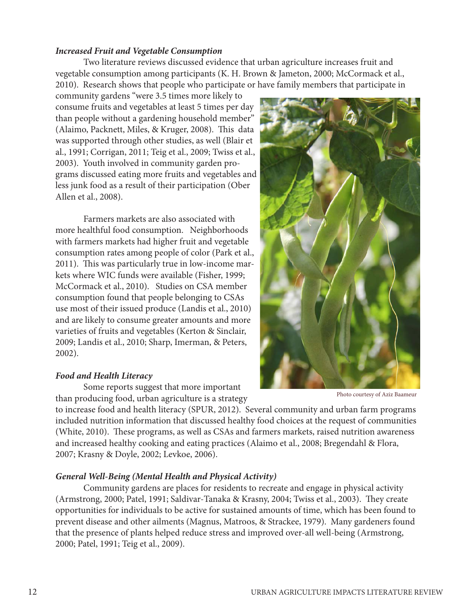#### *Increased Fruit and Vegetable Consumption*

Two literature reviews discussed evidence that urban agriculture increases fruit and vegetable consumption among participants (K. H. Brown & Jameton, 2000; McCormack et al., 2010). Research shows that people who participate or have family members that participate in

community gardens "were 3.5 times more likely to consume fruits and vegetables at least 5 times per day than people without a gardening household member" (Alaimo, Packnett, Miles, & Kruger, 2008). This data was supported through other studies, as well (Blair et al., 1991; Corrigan, 2011; Teig et al., 2009; Twiss et al., 2003). Youth involved in community garden programs discussed eating more fruits and vegetables and less junk food as a result of their participation (Ober Allen et al., 2008).

Farmers markets are also associated with more healthful food consumption. Neighborhoods with farmers markets had higher fruit and vegetable consumption rates among people of color (Park et al., 2011). This was particularly true in low-income markets where WIC funds were available (Fisher, 1999; McCormack et al., 2010). Studies on CSA member consumption found that people belonging to CSAs use most of their issued produce (Landis et al., 2010) and are likely to consume greater amounts and more varieties of fruits and vegetables (Kerton & Sinclair, 2009; Landis et al., 2010; Sharp, Imerman, & Peters, 2002).

#### *Food and Health Literacy*

Some reports suggest that more important than producing food, urban agriculture is a strategy

to increase food and health literacy (SPUR, 2012). Several community and urban farm programs included nutrition information that discussed healthy food choices at the request of communities (White, 2010). These programs, as well as CSAs and farmers markets, raised nutrition awareness and increased healthy cooking and eating practices (Alaimo et al., 2008; Bregendahl & Flora, 2007; Krasny & Doyle, 2002; Levkoe, 2006).

#### *General Well-Being (Mental Health and Physical Activity)*

Community gardens are places for residents to recreate and engage in physical activity (Armstrong, 2000; Patel, 1991; Saldivar-Tanaka & Krasny, 2004; Twiss et al., 2003). They create opportunities for individuals to be active for sustained amounts of time, which has been found to prevent disease and other ailments (Magnus, Matroos, & Strackee, 1979). Many gardeners found that the presence of plants helped reduce stress and improved over-all well-being (Armstrong, 2000; Patel, 1991; Teig et al., 2009).

Photo courtesy of Aziz Baameur

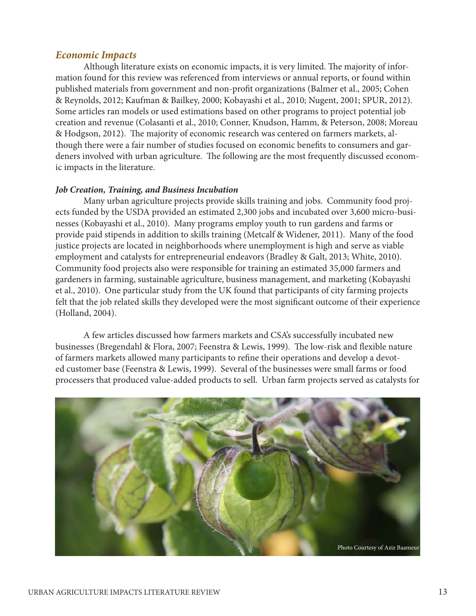#### *Economic Impacts*

Although literature exists on economic impacts, it is very limited. The majority of information found for this review was referenced from interviews or annual reports, or found within published materials from government and non-profit organizations (Balmer et al., 2005; Cohen & Reynolds, 2012; Kaufman & Bailkey, 2000; Kobayashi et al., 2010; Nugent, 2001; SPUR, 2012). Some articles ran models or used estimations based on other programs to project potential job creation and revenue (Colasanti et al., 2010; Conner, Knudson, Hamm, & Peterson, 2008; Moreau & Hodgson, 2012). The majority of economic research was centered on farmers markets, although there were a fair number of studies focused on economic benefits to consumers and gardeners involved with urban agriculture. The following are the most frequently discussed economic impacts in the literature.

#### *Job Creation, Training, and Business Incubation*

Many urban agriculture projects provide skills training and jobs. Community food projects funded by the USDA provided an estimated 2,300 jobs and incubated over 3,600 micro-businesses (Kobayashi et al., 2010). Many programs employ youth to run gardens and farms or provide paid stipends in addition to skills training (Metcalf & Widener, 2011). Many of the food justice projects are located in neighborhoods where unemployment is high and serve as viable employment and catalysts for entrepreneurial endeavors (Bradley & Galt, 2013; White, 2010). Community food projects also were responsible for training an estimated 35,000 farmers and gardeners in farming, sustainable agriculture, business management, and marketing (Kobayashi et al., 2010). One particular study from the UK found that participants of city farming projects felt that the job related skills they developed were the most significant outcome of their experience (Holland, 2004).

A few articles discussed how farmers markets and CSA's successfully incubated new businesses (Bregendahl & Flora, 2007; Feenstra & Lewis, 1999). The low-risk and flexible nature of farmers markets allowed many participants to refine their operations and develop a devoted customer base (Feenstra & Lewis, 1999). Several of the businesses were small farms or food processers that produced value-added products to sell. Urban farm projects served as catalysts for

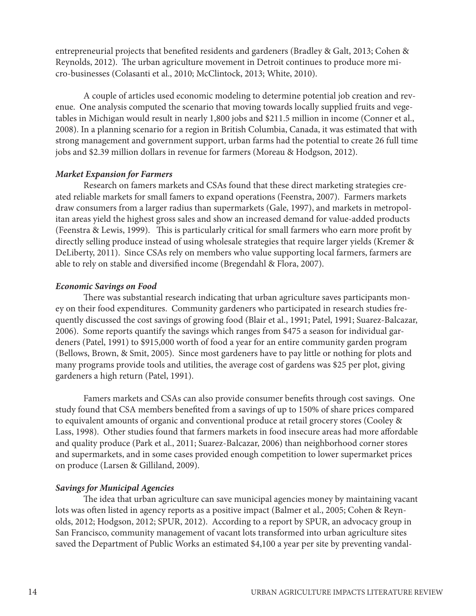entrepreneurial projects that benefited residents and gardeners (Bradley & Galt, 2013; Cohen & Reynolds, 2012). The urban agriculture movement in Detroit continues to produce more micro-businesses (Colasanti et al., 2010; McClintock, 2013; White, 2010).

A couple of articles used economic modeling to determine potential job creation and revenue. One analysis computed the scenario that moving towards locally supplied fruits and vegetables in Michigan would result in nearly 1,800 jobs and \$211.5 million in income (Conner et al., 2008). In a planning scenario for a region in British Columbia, Canada, it was estimated that with strong management and government support, urban farms had the potential to create 26 full time jobs and \$2.39 million dollars in revenue for farmers (Moreau & Hodgson, 2012).

#### *Market Expansion for Farmers*

Research on famers markets and CSAs found that these direct marketing strategies created reliable markets for small famers to expand operations (Feenstra, 2007). Farmers markets draw consumers from a larger radius than supermarkets (Gale, 1997), and markets in metropolitan areas yield the highest gross sales and show an increased demand for value-added products (Feenstra & Lewis, 1999). This is particularly critical for small farmers who earn more profit by directly selling produce instead of using wholesale strategies that require larger yields (Kremer & DeLiberty, 2011). Since CSAs rely on members who value supporting local farmers, farmers are able to rely on stable and diversified income (Bregendahl & Flora, 2007).

#### *Economic Savings on Food*

There was substantial research indicating that urban agriculture saves participants money on their food expenditures. Community gardeners who participated in research studies frequently discussed the cost savings of growing food (Blair et al., 1991; Patel, 1991; Suarez-Balcazar, 2006). Some reports quantify the savings which ranges from \$475 a season for individual gardeners (Patel, 1991) to \$915,000 worth of food a year for an entire community garden program (Bellows, Brown, & Smit, 2005). Since most gardeners have to pay little or nothing for plots and many programs provide tools and utilities, the average cost of gardens was \$25 per plot, giving gardeners a high return (Patel, 1991).

Famers markets and CSAs can also provide consumer benefits through cost savings. One study found that CSA members benefited from a savings of up to 150% of share prices compared to equivalent amounts of organic and conventional produce at retail grocery stores (Cooley & Lass, 1998). Other studies found that farmers markets in food insecure areas had more affordable and quality produce (Park et al., 2011; Suarez-Balcazar, 2006) than neighborhood corner stores and supermarkets, and in some cases provided enough competition to lower supermarket prices on produce (Larsen & Gilliland, 2009).

#### *Savings for Municipal Agencies*

The idea that urban agriculture can save municipal agencies money by maintaining vacant lots was often listed in agency reports as a positive impact (Balmer et al., 2005; Cohen & Reynolds, 2012; Hodgson, 2012; SPUR, 2012). According to a report by SPUR, an advocacy group in San Francisco, community management of vacant lots transformed into urban agriculture sites saved the Department of Public Works an estimated \$4,100 a year per site by preventing vandal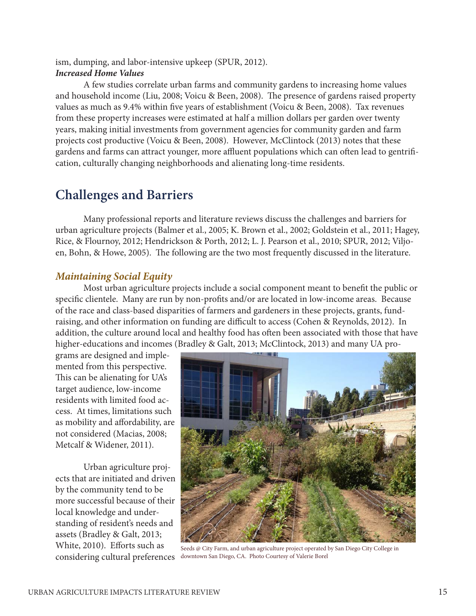ism, dumping, and labor-intensive upkeep (SPUR, 2012). *Increased Home Values*

A few studies correlate urban farms and community gardens to increasing home values and household income (Liu, 2008; Voicu & Been, 2008). The presence of gardens raised property values as much as 9.4% within five years of establishment (Voicu & Been, 2008). Tax revenues from these property increases were estimated at half a million dollars per garden over twenty years, making initial investments from government agencies for community garden and farm projects cost productive (Voicu & Been, 2008). However, McClintock (2013) notes that these gardens and farms can attract younger, more affluent populations which can often lead to gentrification, culturally changing neighborhoods and alienating long-time residents.

## **Challenges and Barriers**

Many professional reports and literature reviews discuss the challenges and barriers for urban agriculture projects (Balmer et al., 2005; K. Brown et al., 2002; Goldstein et al., 2011; Hagey, Rice, & Flournoy, 2012; Hendrickson & Porth, 2012; L. J. Pearson et al., 2010; SPUR, 2012; Viljoen, Bohn, & Howe, 2005). The following are the two most frequently discussed in the literature.

#### *Maintaining Social Equity*

Most urban agriculture projects include a social component meant to benefit the public or specific clientele. Many are run by non-profits and/or are located in low-income areas. Because of the race and class-based disparities of farmers and gardeners in these projects, grants, fundraising, and other information on funding are difficult to access (Cohen & Reynolds, 2012). In addition, the culture around local and healthy food has often been associated with those that have higher-educations and incomes (Bradley & Galt, 2013; McClintock, 2013) and many UA pro-

grams are designed and implemented from this perspective. This can be alienating for UA's target audience, low-income residents with limited food access. At times, limitations such as mobility and affordability, are not considered (Macias, 2008; Metcalf & Widener, 2011).

Urban agriculture projects that are initiated and driven by the community tend to be more successful because of their local knowledge and understanding of resident's needs and assets (Bradley & Galt, 2013; White, 2010). Efforts such as considering cultural preferences



Seeds @ City Farm, and urban agriculture project operated by San Diego City College in downtown San Diego, CA. Photo Courtesy of Valerie Borel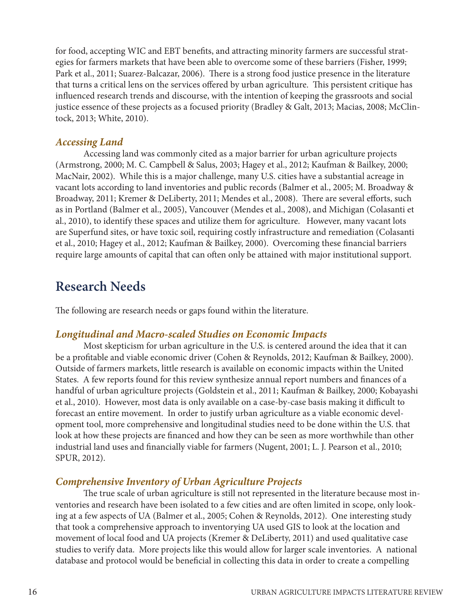for food, accepting WIC and EBT benefits, and attracting minority farmers are successful strategies for farmers markets that have been able to overcome some of these barriers (Fisher, 1999; Park et al., 2011; Suarez-Balcazar, 2006). There is a strong food justice presence in the literature that turns a critical lens on the services offered by urban agriculture. This persistent critique has influenced research trends and discourse, with the intention of keeping the grassroots and social justice essence of these projects as a focused priority (Bradley & Galt, 2013; Macias, 2008; McClintock, 2013; White, 2010).

#### *Accessing Land*

Accessing land was commonly cited as a major barrier for urban agriculture projects (Armstrong, 2000; M. C. Campbell & Salus, 2003; Hagey et al., 2012; Kaufman & Bailkey, 2000; MacNair, 2002). While this is a major challenge, many U.S. cities have a substantial acreage in vacant lots according to land inventories and public records (Balmer et al., 2005; M. Broadway & Broadway, 2011; Kremer & DeLiberty, 2011; Mendes et al., 2008). There are several efforts, such as in Portland (Balmer et al., 2005), Vancouver (Mendes et al., 2008), and Michigan (Colasanti et al., 2010), to identify these spaces and utilize them for agriculture. However, many vacant lots are Superfund sites, or have toxic soil, requiring costly infrastructure and remediation (Colasanti et al., 2010; Hagey et al., 2012; Kaufman & Bailkey, 2000). Overcoming these financial barriers require large amounts of capital that can often only be attained with major institutional support.

### **Research Needs**

The following are research needs or gaps found within the literature.

#### *Longitudinal and Macro-scaled Studies on Economic Impacts*

Most skepticism for urban agriculture in the U.S. is centered around the idea that it can be a profitable and viable economic driver (Cohen & Reynolds, 2012; Kaufman & Bailkey, 2000). Outside of farmers markets, little research is available on economic impacts within the United States. A few reports found for this review synthesize annual report numbers and finances of a handful of urban agriculture projects (Goldstein et al., 2011; Kaufman & Bailkey, 2000; Kobayashi et al., 2010). However, most data is only available on a case-by-case basis making it difficult to forecast an entire movement. In order to justify urban agriculture as a viable economic development tool, more comprehensive and longitudinal studies need to be done within the U.S. that look at how these projects are financed and how they can be seen as more worthwhile than other industrial land uses and financially viable for farmers (Nugent, 2001; L. J. Pearson et al., 2010; SPUR, 2012).

#### *Comprehensive Inventory of Urban Agriculture Projects*

The true scale of urban agriculture is still not represented in the literature because most inventories and research have been isolated to a few cities and are often limited in scope, only looking at a few aspects of UA (Balmer et al., 2005; Cohen & Reynolds, 2012). One interesting study that took a comprehensive approach to inventorying UA used GIS to look at the location and movement of local food and UA projects (Kremer & DeLiberty, 2011) and used qualitative case studies to verify data. More projects like this would allow for larger scale inventories. A national database and protocol would be beneficial in collecting this data in order to create a compelling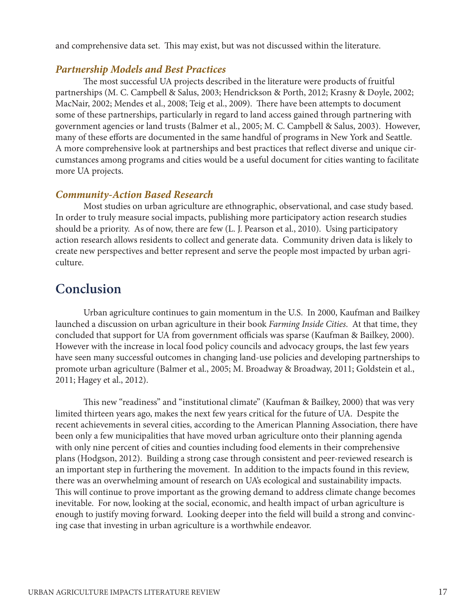and comprehensive data set. This may exist, but was not discussed within the literature.

#### *Partnership Models and Best Practices*

The most successful UA projects described in the literature were products of fruitful partnerships (M. C. Campbell & Salus, 2003; Hendrickson & Porth, 2012; Krasny & Doyle, 2002; MacNair, 2002; Mendes et al., 2008; Teig et al., 2009). There have been attempts to document some of these partnerships, particularly in regard to land access gained through partnering with government agencies or land trusts (Balmer et al., 2005; M. C. Campbell & Salus, 2003). However, many of these efforts are documented in the same handful of programs in New York and Seattle. A more comprehensive look at partnerships and best practices that reflect diverse and unique circumstances among programs and cities would be a useful document for cities wanting to facilitate more UA projects.

#### *Community-Action Based Research*

Most studies on urban agriculture are ethnographic, observational, and case study based. In order to truly measure social impacts, publishing more participatory action research studies should be a priority. As of now, there are few (L. J. Pearson et al., 2010). Using participatory action research allows residents to collect and generate data. Community driven data is likely to create new perspectives and better represent and serve the people most impacted by urban agriculture.

### **Conclusion**

Urban agriculture continues to gain momentum in the U.S. In 2000, Kaufman and Bailkey launched a discussion on urban agriculture in their book *Farming Inside Cities*. At that time, they concluded that support for UA from government officials was sparse (Kaufman & Bailkey, 2000). However with the increase in local food policy councils and advocacy groups, the last few years have seen many successful outcomes in changing land-use policies and developing partnerships to promote urban agriculture (Balmer et al., 2005; M. Broadway & Broadway, 2011; Goldstein et al., 2011; Hagey et al., 2012).

This new "readiness" and "institutional climate" (Kaufman & Bailkey, 2000) that was very limited thirteen years ago, makes the next few years critical for the future of UA. Despite the recent achievements in several cities, according to the American Planning Association, there have been only a few municipalities that have moved urban agriculture onto their planning agenda with only nine percent of cities and counties including food elements in their comprehensive plans (Hodgson, 2012). Building a strong case through consistent and peer-reviewed research is an important step in furthering the movement. In addition to the impacts found in this review, there was an overwhelming amount of research on UA's ecological and sustainability impacts. This will continue to prove important as the growing demand to address climate change becomes inevitable. For now, looking at the social, economic, and health impact of urban agriculture is enough to justify moving forward. Looking deeper into the field will build a strong and convincing case that investing in urban agriculture is a worthwhile endeavor.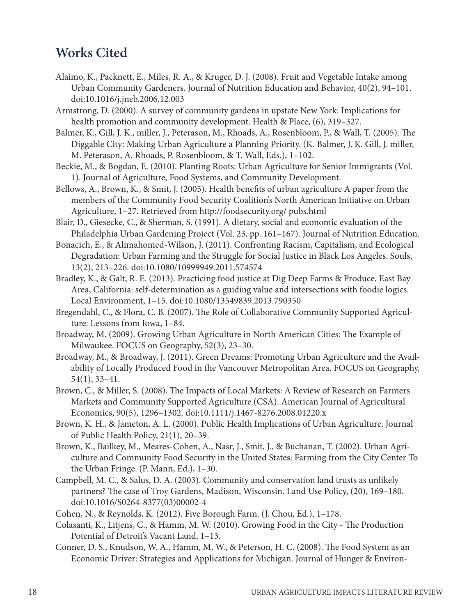### **Works Cited**

- Alaimo, K., Packnett, E., Miles, R. A., & Kruger, D. J. (2008). Fruit and Vegetable Intake among Urban Community Gardeners. Journal of Nutrition Education and Behavior, 40(2), 94–101. doi:10.1016/j.jneb.2006.12.003
- Armstrong, D. (2000). A survey of community gardens in upstate New York: Implications for health promotion and community development. Health & Place, (6), 319–327.
- Balmer, K., Gill, J. K., miller, J., Peterason, M., Rhoads, A., Rosenbloom, P., & Wall, T. (2005). The Diggable City: Making Urban Agriculture a Planning Priority. (K. Balmer, J. K. Gill, J. miller, M. Peterason, A. Rhoads, P. Rosenbloom, & T. Wall, Eds.), 1–102.
- Beckie, M., & Bogdan, E. (2010). Planting Roots: Urban Agriculture for Senior Immigrants (Vol. 1). Journal of Agriculture, Food Systems, and Community Development.
- Bellows, A., Brown, K., & Smit, J. (2005). Health benefits of urban agriculture A paper from the members of the Community Food Security Coalition's North American Initiative on Urban Agriculture, 1–27. Retrieved from http://foodsecurity.org/ pubs.html
- Blair, D., Giesecke, C., & Sherman, S. (1991). A dietary, social and economic evaluation of the Philadelphia Urban Gardening Project (Vol. 23, pp. 161–167). Journal of Nutrition Education.
- Bonacich, E., & Alimahomed-Wilson, J. (2011). Confronting Racism, Capitalism, and Ecological Degradation: Urban Farming and the Struggle for Social Justice in Black Los Angeles. Souls, 13(2), 213–226. doi:10.1080/10999949.2011.574574
- Bradley, K., & Galt, R. E. (2013). Practicing food justice at Dig Deep Farms & Produce, East Bay Area, California: self-determination as a guiding value and intersections with foodie logics. Local Environment, 1–15. doi:10.1080/13549839.2013.790350
- Bregendahl, C., & Flora, C. B. (2007). The Role of Collaborative Community Supported Agriculture: Lessons from Iowa, 1–84.
- Broadway, M. (2009). Growing Urban Agriculture in North American Cities: The Example of Milwaukee. FOCUS on Geography, 52(3), 23–30.
- Broadway, M., & Broadway, J. (2011). Green Dreams: Promoting Urban Agriculture and the Availability of Locally Produced Food in the Vancouver Metropolitan Area. FOCUS on Geography, 54(1), 33–41.
- Brown, C., & Miller, S. (2008). The Impacts of Local Markets: A Review of Research on Farmers Markets and Community Supported Agriculture (CSA). American Journal of Agricultural Economics, 90(5), 1296–1302. doi:10.1111/j.1467-8276.2008.01220.x
- Brown, K. H., & Jameton, A. L. (2000). Public Health Implications of Urban Agriculture. Journal of Public Health Policy, 21(1), 20–39.
- Brown, K., Bailkey, M., Meares-Cohen, A., Nasr, J., Smit, J., & Buchanan, T. (2002). Urban Agriculture and Community Food Security in the United States: Farming from the City Center To the Urban Fringe. (P. Mann, Ed.), 1–30.
- Campbell, M. C., & Salus, D. A. (2003). Community and conservation land trusts as unlikely partners? The case of Troy Gardens, Madison, Wisconsin. Land Use Policy, (20), 169–180. doi:10.1016/S0264-8377(03)00002-4
- Cohen, N., & Reynolds, K. (2012). Five Borough Farm. (J. Chou, Ed.), 1–178.
- Colasanti, K., Litjens, C., & Hamm, M. W. (2010). Growing Food in the City The Production Potential of Detroit's Vacant Land, 1–13.
- Conner, D. S., Knudson, W. A., Hamm, M. W., & Peterson, H. C. (2008). The Food System as an Economic Driver: Strategies and Applications for Michigan. Journal of Hunger & Environ-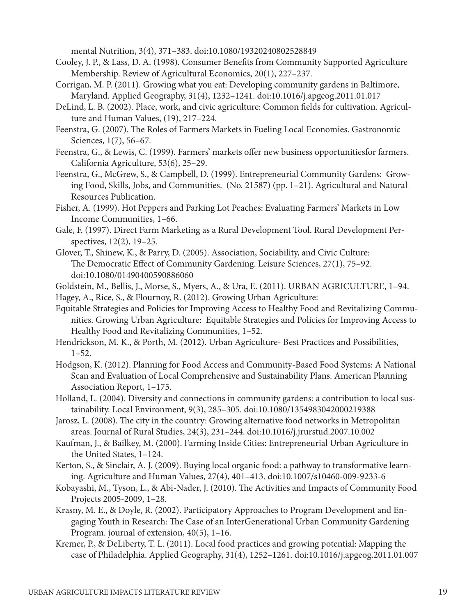mental Nutrition, 3(4), 371–383. doi:10.1080/19320240802528849

- Cooley, J. P., & Lass, D. A. (1998). Consumer Benefits from Community Supported Agriculture Membership. Review of Agricultural Economics, 20(1), 227–237.
- Corrigan, M. P. (2011). Growing what you eat: Developing community gardens in Baltimore, Maryland. Applied Geography, 31(4), 1232–1241. doi:10.1016/j.apgeog.2011.01.017
- DeLind, L. B. (2002). Place, work, and civic agriculture: Common fields for cultivation. Agriculture and Human Values, (19), 217–224.
- Feenstra, G. (2007). The Roles of Farmers Markets in Fueling Local Economies. Gastronomic Sciences, 1(7), 56–67.
- Feenstra, G., & Lewis, C. (1999). Farmers' markets offer new business opportunitiesfor farmers. California Agriculture, 53(6), 25–29.
- Feenstra, G., McGrew, S., & Campbell, D. (1999). Entrepreneurial Community Gardens: Growing Food, Skills, Jobs, and Communities. (No. 21587) (pp. 1–21). Agricultural and Natural Resources Publication.
- Fisher, A. (1999). Hot Peppers and Parking Lot Peaches: Evaluating Farmers' Markets in Low Income Communities, 1–66.
- Gale, F. (1997). Direct Farm Marketing as a Rural Development Tool. Rural Development Perspectives, 12(2), 19–25.
- Glover, T., Shinew, K., & Parry, D. (2005). Association, Sociability, and Civic Culture: The Democratic Effect of Community Gardening. Leisure Sciences, 27(1), 75–92. doi:10.1080/01490400590886060

Goldstein, M., Bellis, J., Morse, S., Myers, A., & Ura, E. (2011). URBAN AGRICULTURE, 1–94.

- Hagey, A., Rice, S., & Flournoy, R. (2012). Growing Urban Agriculture:
- Equitable Strategies and Policies for Improving Access to Healthy Food and Revitalizing Communities. Growing Urban Agriculture: Equitable Strategies and Policies for Improving Access to Healthy Food and Revitalizing Communities, 1–52.
- Hendrickson, M. K., & Porth, M. (2012). Urban Agriculture- Best Practices and Possibilities,  $1-52.$
- Hodgson, K. (2012). Planning for Food Access and Community-Based Food Systems: A National Scan and Evaluation of Local Comprehensive and Sustainability Plans. American Planning Association Report, 1–175.
- Holland, L. (2004). Diversity and connections in community gardens: a contribution to local sustainability. Local Environment, 9(3), 285–305. doi:10.1080/1354983042000219388
- Jarosz, L. (2008). The city in the country: Growing alternative food networks in Metropolitan areas. Journal of Rural Studies, 24(3), 231–244. doi:10.1016/j.jrurstud.2007.10.002
- Kaufman, J., & Bailkey, M. (2000). Farming Inside Cities: Entrepreneurial Urban Agriculture in the United States, 1–124.
- Kerton, S., & Sinclair, A. J. (2009). Buying local organic food: a pathway to transformative learning. Agriculture and Human Values, 27(4), 401–413. doi:10.1007/s10460-009-9233-6
- Kobayashi, M., Tyson, L., & Abi-Nader, J. (2010). The Activities and Impacts of Community Food Projects 2005-2009, 1–28.
- Krasny, M. E., & Doyle, R. (2002). Participatory Approaches to Program Development and Engaging Youth in Research: The Case of an InterGenerational Urban Community Gardening Program. journal of extension, 40(5), 1–16.
- Kremer, P., & DeLiberty, T. L. (2011). Local food practices and growing potential: Mapping the case of Philadelphia. Applied Geography, 31(4), 1252–1261. doi:10.1016/j.apgeog.2011.01.007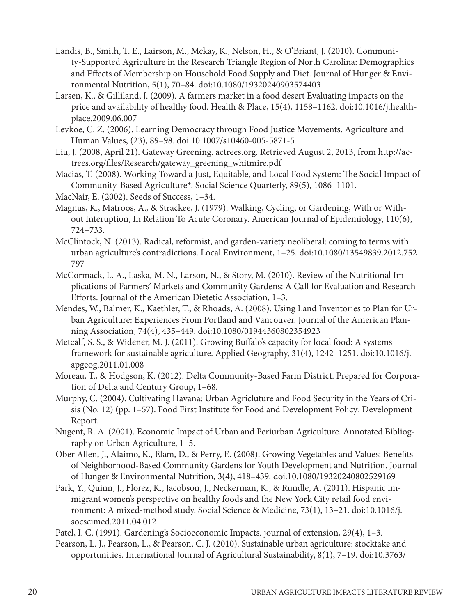- Landis, B., Smith, T. E., Lairson, M., Mckay, K., Nelson, H., & O'Briant, J. (2010). Community-Supported Agriculture in the Research Triangle Region of North Carolina: Demographics and Effects of Membership on Household Food Supply and Diet. Journal of Hunger & Environmental Nutrition, 5(1), 70–84. doi:10.1080/19320240903574403
- Larsen, K., & Gilliland, J. (2009). A farmers market in a food desert Evaluating impacts on the price and availability of healthy food. Health & Place, 15(4), 1158–1162. doi:10.1016/j.healthplace.2009.06.007
- Levkoe, C. Z. (2006). Learning Democracy through Food Justice Movements. Agriculture and Human Values, (23), 89–98. doi:10.1007/s10460-005-5871-5
- Liu, J. (2008, April 21). Gateway Greening. actrees.org. Retrieved August 2, 2013, from http://actrees.org/files/Research/gateway\_greening\_whitmire.pdf
- Macias, T. (2008). Working Toward a Just, Equitable, and Local Food System: The Social Impact of Community-Based Agriculture\*. Social Science Quarterly, 89(5), 1086–1101.

MacNair, E. (2002). Seeds of Success, 1–34.

- Magnus, K., Matroos, A., & Strackee, J. (1979). Walking, Cycling, or Gardening, With or Without Interuption, In Relation To Acute Coronary. American Journal of Epidemiology, 110(6), 724–733.
- McClintock, N. (2013). Radical, reformist, and garden-variety neoliberal: coming to terms with urban agriculture's contradictions. Local Environment, 1–25. doi:10.1080/13549839.2012.752 797
- McCormack, L. A., Laska, M. N., Larson, N., & Story, M. (2010). Review of the Nutritional Implications of Farmers' Markets and Community Gardens: A Call for Evaluation and Research Efforts. Journal of the American Dietetic Association, 1–3.
- Mendes, W., Balmer, K., Kaethler, T., & Rhoads, A. (2008). Using Land Inventories to Plan for Urban Agriculture: Experiences From Portland and Vancouver. Journal of the American Planning Association, 74(4), 435–449. doi:10.1080/01944360802354923
- Metcalf, S. S., & Widener, M. J. (2011). Growing Buffalo's capacity for local food: A systems framework for sustainable agriculture. Applied Geography, 31(4), 1242–1251. doi:10.1016/j. apgeog.2011.01.008
- Moreau, T., & Hodgson, K. (2012). Delta Community-Based Farm District. Prepared for Corporation of Delta and Century Group, 1–68.
- Murphy, C. (2004). Cultivating Havana: Urban Agricluture and Food Security in the Years of Crisis (No. 12) (pp. 1–57). Food First Institute for Food and Development Policy: Development Report.
- Nugent, R. A. (2001). Economic Impact of Urban and Periurban Agriculture. Annotated Bibliography on Urban Agriculture, 1–5.
- Ober Allen, J., Alaimo, K., Elam, D., & Perry, E. (2008). Growing Vegetables and Values: Benefits of Neighborhood-Based Community Gardens for Youth Development and Nutrition. Journal of Hunger & Environmental Nutrition, 3(4), 418–439. doi:10.1080/19320240802529169
- Park, Y., Quinn, J., Florez, K., Jacobson, J., Neckerman, K., & Rundle, A. (2011). Hispanic immigrant women's perspective on healthy foods and the New York City retail food environment: A mixed-method study. Social Science & Medicine, 73(1), 13–21. doi:10.1016/j. socscimed.2011.04.012
- Patel, I. C. (1991). Gardening's Socioeconomic Impacts. journal of extension, 29(4), 1–3.
- Pearson, L. J., Pearson, L., & Pearson, C. J. (2010). Sustainable urban agriculture: stocktake and opportunities. International Journal of Agricultural Sustainability, 8(1), 7–19. doi:10.3763/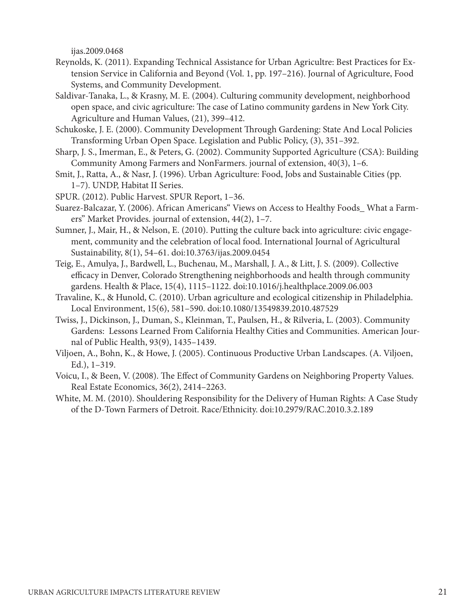ijas.2009.0468

- Reynolds, K. (2011). Expanding Technical Assistance for Urban Agricultre: Best Practices for Extension Service in California and Beyond (Vol. 1, pp. 197–216). Journal of Agriculture, Food Systems, and Community Development.
- Saldivar-Tanaka, L., & Krasny, M. E. (2004). Culturing community development, neighborhood open space, and civic agriculture: The case of Latino community gardens in New York City. Agriculture and Human Values, (21), 399–412.
- Schukoske, J. E. (2000). Community Development Through Gardening: State And Local Policies Transforming Urban Open Space. Legislation and Public Policy, (3), 351–392.
- Sharp, J. S., Imerman, E., & Peters, G. (2002). Community Supported Agriculture (CSA): Building Community Among Farmers and NonFarmers. journal of extension, 40(3), 1–6.
- Smit, J., Ratta, A., & Nasr, J. (1996). Urban Agriculture: Food, Jobs and Sustainable Cities (pp. 1–7). UNDP, Habitat II Series.
- SPUR. (2012). Public Harvest. SPUR Report, 1–36.
- Suarez-Balcazar, Y. (2006). African Americans" Views on Access to Healthy Foods\_ What a Farmers" Market Provides. journal of extension, 44(2), 1–7.
- Sumner, J., Mair, H., & Nelson, E. (2010). Putting the culture back into agriculture: civic engagement, community and the celebration of local food. International Journal of Agricultural Sustainability, 8(1), 54–61. doi:10.3763/ijas.2009.0454
- Teig, E., Amulya, J., Bardwell, L., Buchenau, M., Marshall, J. A., & Litt, J. S. (2009). Collective efficacy in Denver, Colorado Strengthening neighborhoods and health through community gardens. Health & Place, 15(4), 1115–1122. doi:10.1016/j.healthplace.2009.06.003
- Travaline, K., & Hunold, C. (2010). Urban agriculture and ecological citizenship in Philadelphia. Local Environment, 15(6), 581–590. doi:10.1080/13549839.2010.487529
- Twiss, J., Dickinson, J., Duman, S., Kleinman, T., Paulsen, H., & Rilveria, L. (2003). Community Gardens: Lessons Learned From California Healthy Cities and Communities. American Journal of Public Health, 93(9), 1435–1439.
- Viljoen, A., Bohn, K., & Howe, J. (2005). Continuous Productive Urban Landscapes. (A. Viljoen, Ed.), 1–319.
- Voicu, I., & Been, V. (2008). The Effect of Community Gardens on Neighboring Property Values. Real Estate Economics, 36(2), 2414–2263.
- White, M. M. (2010). Shouldering Responsibility for the Delivery of Human Rights: A Case Study of the D-Town Farmers of Detroit. Race/Ethnicity. doi:10.2979/RAC.2010.3.2.189